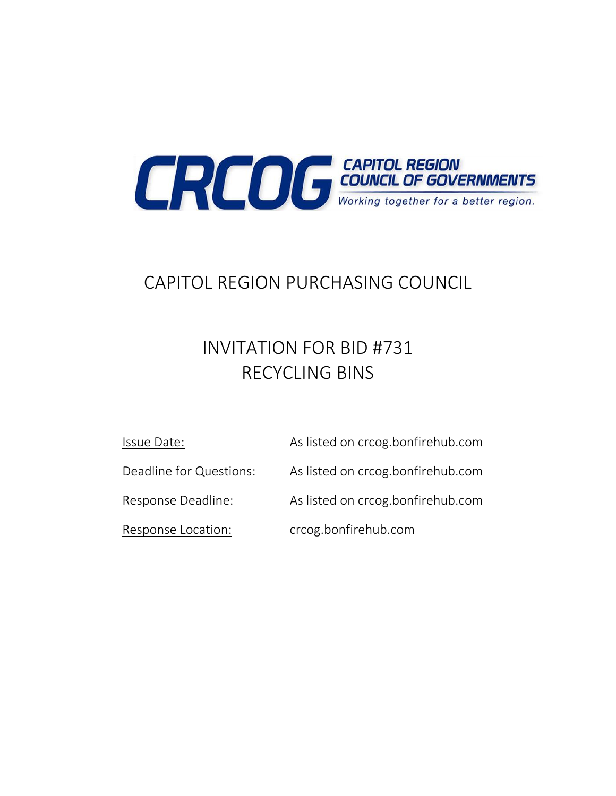

# CAPITOL REGION PURCHASING COUNCIL

# INVITATION FOR BID #731 RECYCLING BINS

Issue Date: As listed on crcog.bonfirehub.com

Deadline for Questions: As listed on crcog.bonfirehub.com

Response Deadline: As listed on crcog.bonfirehub.com

Response Location: crcog.bonfirehub.com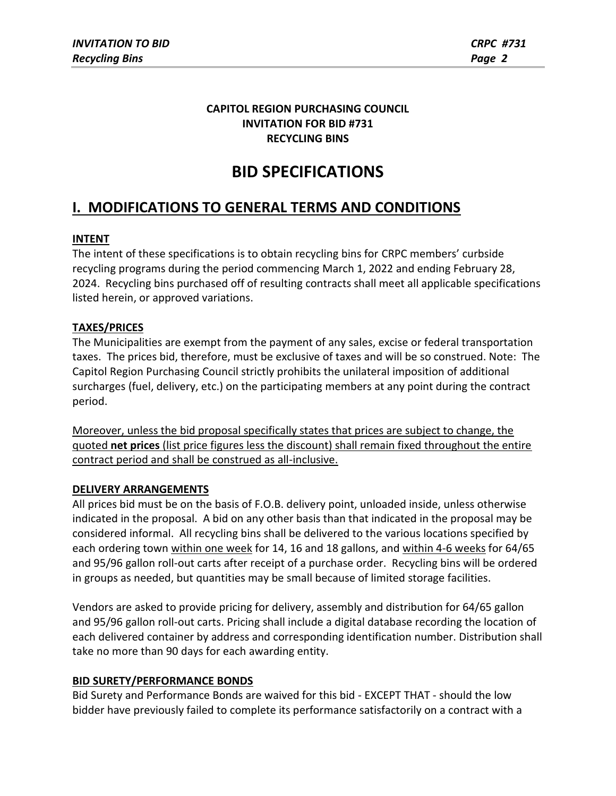## **CAPITOL REGION PURCHASING COUNCIL INVITATION FOR BID #731 RECYCLING BINS**

## **BID SPECIFICATIONS**

## **I. MODIFICATIONS TO GENERAL TERMS AND CONDITIONS**

## **INTENT**

The intent of these specifications is to obtain recycling bins for CRPC members' curbside recycling programs during the period commencing March 1, 2022 and ending February 28, 2024. Recycling bins purchased off of resulting contracts shall meet all applicable specifications listed herein, or approved variations.

## **TAXES/PRICES**

The Municipalities are exempt from the payment of any sales, excise or federal transportation taxes. The prices bid, therefore, must be exclusive of taxes and will be so construed. Note: The Capitol Region Purchasing Council strictly prohibits the unilateral imposition of additional surcharges (fuel, delivery, etc.) on the participating members at any point during the contract period.

Moreover, unless the bid proposal specifically states that prices are subject to change, the quoted **net prices** (list price figures less the discount) shall remain fixed throughout the entire contract period and shall be construed as all-inclusive.

## **DELIVERY ARRANGEMENTS**

All prices bid must be on the basis of F.O.B. delivery point, unloaded inside, unless otherwise indicated in the proposal. A bid on any other basis than that indicated in the proposal may be considered informal. All recycling bins shall be delivered to the various locations specified by each ordering town within one week for 14, 16 and 18 gallons, and within 4-6 weeks for 64/65 and 95/96 gallon roll-out carts after receipt of a purchase order. Recycling bins will be ordered in groups as needed, but quantities may be small because of limited storage facilities.

Vendors are asked to provide pricing for delivery, assembly and distribution for 64/65 gallon and 95/96 gallon roll-out carts. Pricing shall include a digital database recording the location of each delivered container by address and corresponding identification number. Distribution shall take no more than 90 days for each awarding entity.

## **BID SURETY/PERFORMANCE BONDS**

Bid Surety and Performance Bonds are waived for this bid - EXCEPT THAT - should the low bidder have previously failed to complete its performance satisfactorily on a contract with a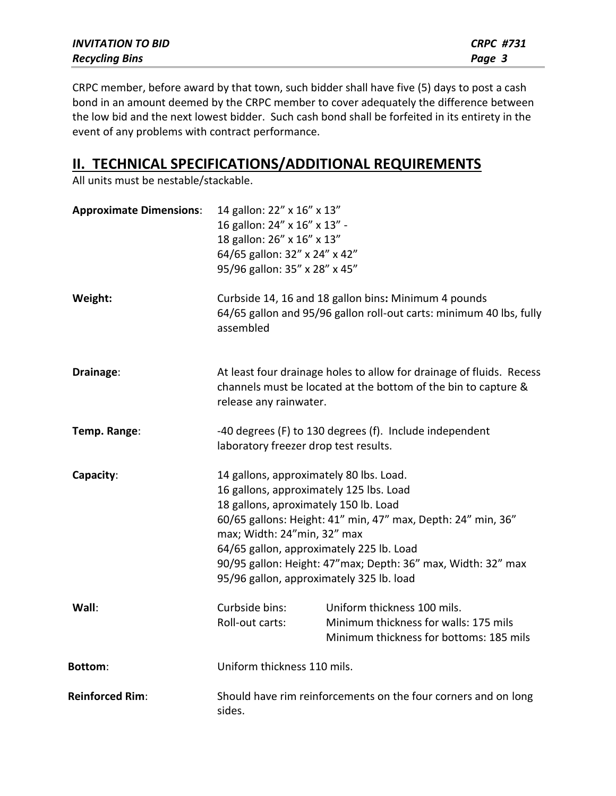| <b>INVITATION TO BID</b> | <b>CRPC #731</b> |
|--------------------------|------------------|
| <b>Recycling Bins</b>    | Page 3           |

CRPC member, before award by that town, such bidder shall have five (5) days to post a cash bond in an amount deemed by the CRPC member to cover adequately the difference between the low bid and the next lowest bidder. Such cash bond shall be forfeited in its entirety in the event of any problems with contract performance.

## **II. TECHNICAL SPECIFICATIONS/ADDITIONAL REQUIREMENTS**

All units must be nestable/stackable.

| <b>Approximate Dimensions:</b> | 14 gallon: 22" x 16" x 13"<br>16 gallon: 24" x 16" x 13" -<br>18 gallon: 26" x 16" x 13"<br>64/65 gallon: 32" x 24" x 42"<br>95/96 gallon: 35" x 28" x 45"                                                                                                                                                                                                                         |                                                                                                                                        |
|--------------------------------|------------------------------------------------------------------------------------------------------------------------------------------------------------------------------------------------------------------------------------------------------------------------------------------------------------------------------------------------------------------------------------|----------------------------------------------------------------------------------------------------------------------------------------|
| Weight:                        | assembled                                                                                                                                                                                                                                                                                                                                                                          | Curbside 14, 16 and 18 gallon bins: Minimum 4 pounds<br>64/65 gallon and 95/96 gallon roll-out carts: minimum 40 lbs, fully            |
| Drainage:                      | release any rainwater.                                                                                                                                                                                                                                                                                                                                                             | At least four drainage holes to allow for drainage of fluids. Recess<br>channels must be located at the bottom of the bin to capture & |
| Temp. Range:                   | laboratory freezer drop test results.                                                                                                                                                                                                                                                                                                                                              | -40 degrees (F) to 130 degrees (f). Include independent                                                                                |
| Capacity:                      | 14 gallons, approximately 80 lbs. Load.<br>16 gallons, approximately 125 lbs. Load<br>18 gallons, aproximately 150 lb. Load<br>60/65 gallons: Height: 41" min, 47" max, Depth: 24" min, 36"<br>max; Width: 24"min, 32" max<br>64/65 gallon, approximately 225 lb. Load<br>90/95 gallon: Height: 47"max; Depth: 36" max, Width: 32" max<br>95/96 gallon, approximately 325 lb. load |                                                                                                                                        |
| Wall:                          | Curbside bins:<br>Roll-out carts:                                                                                                                                                                                                                                                                                                                                                  | Uniform thickness 100 mils.<br>Minimum thickness for walls: 175 mils<br>Minimum thickness for bottoms: 185 mils                        |
| <b>Bottom:</b>                 | Uniform thickness 110 mils.                                                                                                                                                                                                                                                                                                                                                        |                                                                                                                                        |
| <b>Reinforced Rim:</b>         | Should have rim reinforcements on the four corners and on long<br>sides.                                                                                                                                                                                                                                                                                                           |                                                                                                                                        |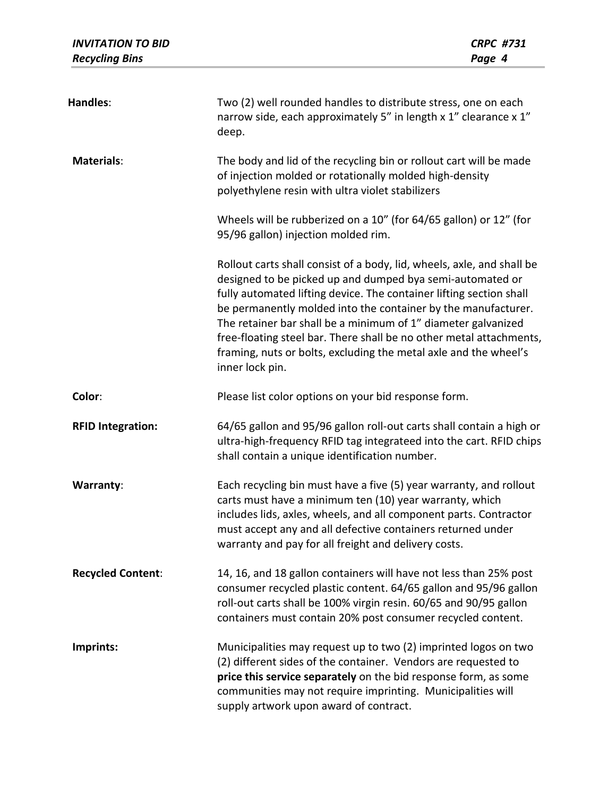| <b>INVITATION TO BID</b><br><b>Recycling Bins</b> | <b>CRPC #731</b><br>Page 4                                                                                                                                                                                                                                                                                                                                                                                                                                                                                 |
|---------------------------------------------------|------------------------------------------------------------------------------------------------------------------------------------------------------------------------------------------------------------------------------------------------------------------------------------------------------------------------------------------------------------------------------------------------------------------------------------------------------------------------------------------------------------|
| Handles:                                          | Two (2) well rounded handles to distribute stress, one on each<br>narrow side, each approximately 5" in length x 1" clearance x 1"<br>deep.                                                                                                                                                                                                                                                                                                                                                                |
| <b>Materials:</b>                                 | The body and lid of the recycling bin or rollout cart will be made<br>of injection molded or rotationally molded high-density<br>polyethylene resin with ultra violet stabilizers                                                                                                                                                                                                                                                                                                                          |
|                                                   | Wheels will be rubberized on a 10" (for 64/65 gallon) or 12" (for<br>95/96 gallon) injection molded rim.                                                                                                                                                                                                                                                                                                                                                                                                   |
|                                                   | Rollout carts shall consist of a body, lid, wheels, axle, and shall be<br>designed to be picked up and dumped bya semi-automated or<br>fully automated lifting device. The container lifting section shall<br>be permanently molded into the container by the manufacturer.<br>The retainer bar shall be a minimum of 1" diameter galvanized<br>free-floating steel bar. There shall be no other metal attachments,<br>framing, nuts or bolts, excluding the metal axle and the wheel's<br>inner lock pin. |
| Color:                                            | Please list color options on your bid response form.                                                                                                                                                                                                                                                                                                                                                                                                                                                       |
| <b>RFID Integration:</b>                          | 64/65 gallon and 95/96 gallon roll-out carts shall contain a high or<br>ultra-high-frequency RFID tag integrateed into the cart. RFID chips<br>shall contain a unique identification number.                                                                                                                                                                                                                                                                                                               |
| <b>Warranty:</b>                                  | Each recycling bin must have a five (5) year warranty, and rollout<br>carts must have a minimum ten (10) year warranty, which<br>includes lids, axles, wheels, and all component parts. Contractor<br>must accept any and all defective containers returned under<br>warranty and pay for all freight and delivery costs.                                                                                                                                                                                  |
| <b>Recycled Content:</b>                          | 14, 16, and 18 gallon containers will have not less than 25% post<br>consumer recycled plastic content. 64/65 gallon and 95/96 gallon<br>roll-out carts shall be 100% virgin resin. 60/65 and 90/95 gallon<br>containers must contain 20% post consumer recycled content.                                                                                                                                                                                                                                  |
| Imprints:                                         | Municipalities may request up to two (2) imprinted logos on two<br>(2) different sides of the container. Vendors are requested to<br>price this service separately on the bid response form, as some<br>communities may not require imprinting. Municipalities will<br>supply artwork upon award of contract.                                                                                                                                                                                              |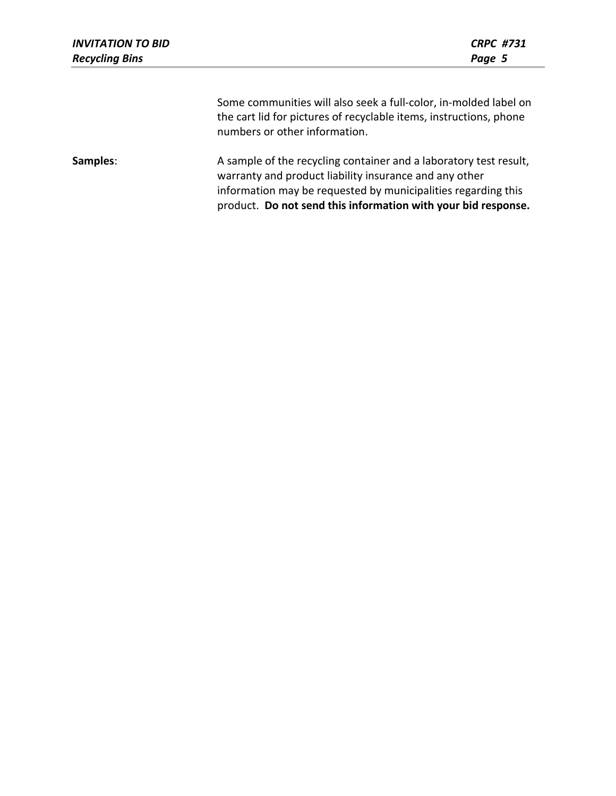| <b>INVITATION TO BID</b><br><b>Recycling Bins</b> | <b>CRPC #731</b><br>Page 5                                                                                                                                              |
|---------------------------------------------------|-------------------------------------------------------------------------------------------------------------------------------------------------------------------------|
|                                                   | Some communities will also seek a full-color, in-molded label on<br>the cart lid for pictures of recyclable items, instructions, phone<br>numbers or other information. |
| Samples:                                          | A sample of the recycling container and a laboratory test result,                                                                                                       |

warranty and product liability insurance and any other information may be requested by municipalities regarding this product. **Do not send this information with your bid response.**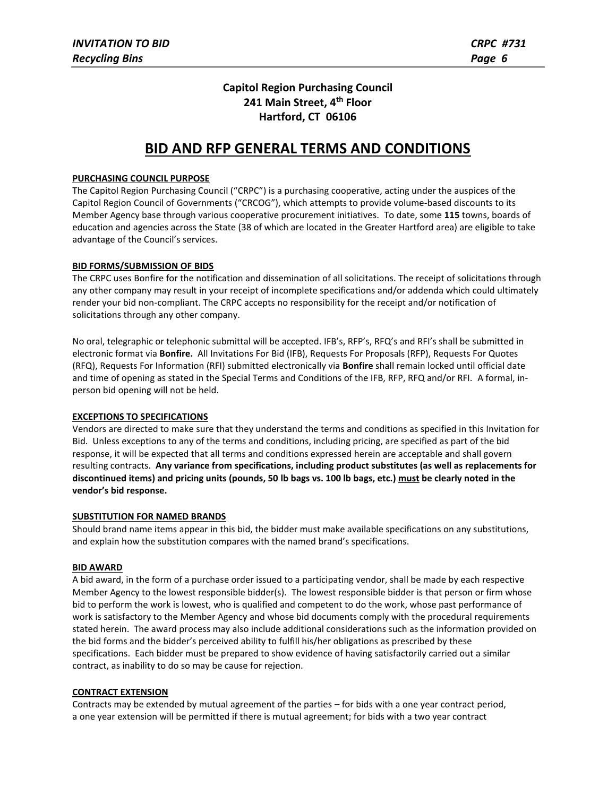## **Capitol Region Purchasing Council 241 Main Street, 4th Floor Hartford, CT 06106**

## **BID AND RFP GENERAL TERMS AND CONDITIONS**

#### **PURCHASING COUNCIL PURPOSE**

The Capitol Region Purchasing Council ("CRPC") is a purchasing cooperative, acting under the auspices of the Capitol Region Council of Governments ("CRCOG"), which attempts to provide volume-based discounts to its Member Agency base through various cooperative procurement initiatives. To date, some **115** towns, boards of education and agencies across the State (38 of which are located in the Greater Hartford area) are eligible to take advantage of the Council's services.

#### **BID FORMS/SUBMISSION OF BIDS**

The CRPC uses Bonfire for the notification and dissemination of all solicitations. The receipt of solicitations through any other company may result in your receipt of incomplete specifications and/or addenda which could ultimately render your bid non-compliant. The CRPC accepts no responsibility for the receipt and/or notification of solicitations through any other company.

No oral, telegraphic or telephonic submittal will be accepted. IFB's, RFP's, RFQ's and RFI's shall be submitted in electronic format via **Bonfire.** All Invitations For Bid (IFB), Requests For Proposals (RFP), Requests For Quotes (RFQ), Requests For Information (RFI) submitted electronically via **Bonfire** shall remain locked until official date and time of opening as stated in the Special Terms and Conditions of the IFB, RFP, RFQ and/or RFI. A formal, inperson bid opening will not be held.

#### **EXCEPTIONS TO SPECIFICATIONS**

Vendors are directed to make sure that they understand the terms and conditions as specified in this Invitation for Bid. Unless exceptions to any of the terms and conditions, including pricing, are specified as part of the bid response, it will be expected that all terms and conditions expressed herein are acceptable and shall govern resulting contracts. **Any variance from specifications, including product substitutes (as well as replacements for discontinued items) and pricing units (pounds, 50 lb bags vs. 100 lb bags, etc.) must be clearly noted in the vendor's bid response.**

#### **SUBSTITUTION FOR NAMED BRANDS**

Should brand name items appear in this bid, the bidder must make available specifications on any substitutions, and explain how the substitution compares with the named brand's specifications.

#### **BID AWARD**

A bid award, in the form of a purchase order issued to a participating vendor, shall be made by each respective Member Agency to the lowest responsible bidder(s). The lowest responsible bidder is that person or firm whose bid to perform the work is lowest, who is qualified and competent to do the work, whose past performance of work is satisfactory to the Member Agency and whose bid documents comply with the procedural requirements stated herein. The award process may also include additional considerations such as the information provided on the bid forms and the bidder's perceived ability to fulfill his/her obligations as prescribed by these specifications. Each bidder must be prepared to show evidence of having satisfactorily carried out a similar contract, as inability to do so may be cause for rejection.

#### **CONTRACT EXTENSION**

Contracts may be extended by mutual agreement of the parties – for bids with a one year contract period, a one year extension will be permitted if there is mutual agreement; for bids with a two year contract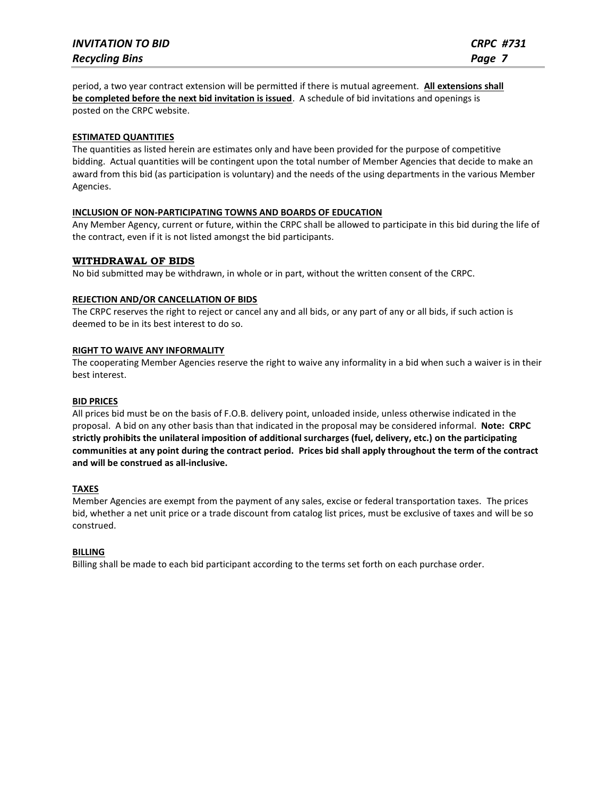period, a two year contract extension will be permitted if there is mutual agreement. **All extensions shall be completed before the next bid invitation is issued**. A schedule of bid invitations and openings is posted on the CRPC website.

#### **ESTIMATED QUANTITIES**

The quantities as listed herein are estimates only and have been provided for the purpose of competitive bidding. Actual quantities will be contingent upon the total number of Member Agencies that decide to make an award from this bid (as participation is voluntary) and the needs of the using departments in the various Member Agencies.

#### **INCLUSION OF NON-PARTICIPATING TOWNS AND BOARDS OF EDUCATION**

Any Member Agency, current or future, within the CRPC shall be allowed to participate in this bid during the life of the contract, even if it is not listed amongst the bid participants.

#### **WITHDRAWAL OF BIDS**

No bid submitted may be withdrawn, in whole or in part, without the written consent of the CRPC.

#### **REJECTION AND/OR CANCELLATION OF BIDS**

The CRPC reserves the right to reject or cancel any and all bids, or any part of any or all bids, if such action is deemed to be in its best interest to do so.

#### **RIGHT TO WAIVE ANY INFORMALITY**

The cooperating Member Agencies reserve the right to waive any informality in a bid when such a waiver is in their best interest.

#### **BID PRICES**

All prices bid must be on the basis of F.O.B. delivery point, unloaded inside, unless otherwise indicated in the proposal. A bid on any other basis than that indicated in the proposal may be considered informal. **Note: CRPC strictly prohibits the unilateral imposition of additional surcharges (fuel, delivery, etc.) on the participating communities at any point during the contract period. Prices bid shall apply throughout the term of the contract and will be construed as all-inclusive.**

#### **TAXES**

Member Agencies are exempt from the payment of any sales, excise or federal transportation taxes. The prices bid, whether a net unit price or a trade discount from catalog list prices, must be exclusive of taxes and will be so construed.

#### **BILLING**

Billing shall be made to each bid participant according to the terms set forth on each purchase order.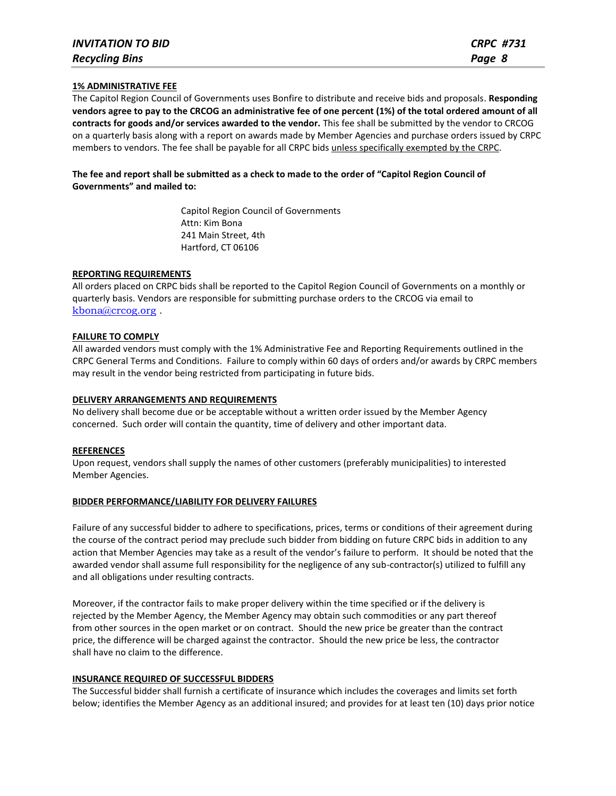#### **1% ADMINISTRATIVE FEE**

The Capitol Region Council of Governments uses Bonfire to distribute and receive bids and proposals. **Responding vendors agree to pay to the CRCOG an administrative fee of one percent (1%) of the total ordered amount of all contracts for goods and/or services awarded to the vendor.** This fee shall be submitted by the vendor to CRCOG on a quarterly basis along with a report on awards made by Member Agencies and purchase orders issued by CRPC members to vendors. The fee shall be payable for all CRPC bids unless specifically exempted by the CRPC.

#### **The fee and report shall be submitted as a check to made to the order of "Capitol Region Council of Governments" and mailed to:**

Capitol Region Council of Governments Attn: Kim Bona 241 Main Street, 4th Hartford, CT 06106

#### **REPORTING REQUIREMENTS**

All orders placed on CRPC bids shall be reported to the Capitol Region Council of Governments on a monthly or quarterly basis. Vendors are responsible for submitting purchase orders to the CRCOG via email to [kbona@crcog.org](mailto:kbona@crcog.org) .

#### **FAILURE TO COMPLY**

All awarded vendors must comply with the 1% Administrative Fee and Reporting Requirements outlined in the CRPC General Terms and Conditions. Failure to comply within 60 days of orders and/or awards by CRPC members may result in the vendor being restricted from participating in future bids.

#### **DELIVERY ARRANGEMENTS AND REQUIREMENTS**

No delivery shall become due or be acceptable without a written order issued by the Member Agency concerned. Such order will contain the quantity, time of delivery and other important data.

#### **REFERENCES**

Upon request, vendors shall supply the names of other customers (preferably municipalities) to interested Member Agencies.

#### **BIDDER PERFORMANCE/LIABILITY FOR DELIVERY FAILURES**

Failure of any successful bidder to adhere to specifications, prices, terms or conditions of their agreement during the course of the contract period may preclude such bidder from bidding on future CRPC bids in addition to any action that Member Agencies may take as a result of the vendor's failure to perform. It should be noted that the awarded vendor shall assume full responsibility for the negligence of any sub-contractor(s) utilized to fulfill any and all obligations under resulting contracts.

Moreover, if the contractor fails to make proper delivery within the time specified or if the delivery is rejected by the Member Agency, the Member Agency may obtain such commodities or any part thereof from other sources in the open market or on contract. Should the new price be greater than the contract price, the difference will be charged against the contractor. Should the new price be less, the contractor shall have no claim to the difference.

#### **INSURANCE REQUIRED OF SUCCESSFUL BIDDERS**

The Successful bidder shall furnish a certificate of insurance which includes the coverages and limits set forth below; identifies the Member Agency as an additional insured; and provides for at least ten (10) days prior notice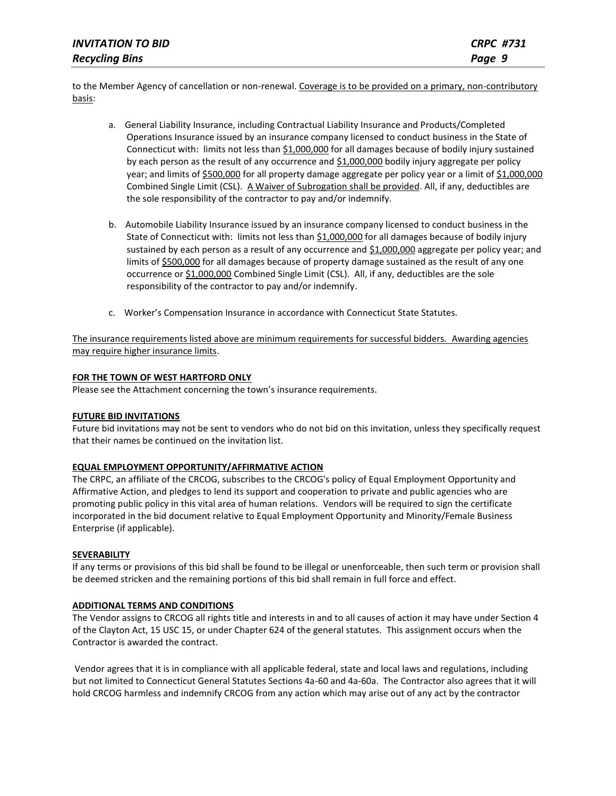| <b>INVITATION TO BID</b> | <b>CRPC #731</b> |
|--------------------------|------------------|
| <b>Recycling Bins</b>    | Page 9           |

to the Member Agency of cancellation or non-renewal. Coverage is to be provided on a primary, non-contributory basis:

- a. General Liability Insurance, including Contractual Liability Insurance and Products/Completed Operations Insurance issued by an insurance company licensed to conduct business in the State of Connecticut with: limits not less than \$1,000,000 for all damages because of bodily injury sustained by each person as the result of any occurrence and \$1,000,000 bodily injury aggregate per policy year; and limits of \$500,000 for all property damage aggregate per policy year or a limit of \$1,000,000 Combined Single Limit (CSL). A Waiver of Subrogation shall be provided. All, if any, deductibles are the sole responsibility of the contractor to pay and/or indemnify.
- b. Automobile Liability Insurance issued by an insurance company licensed to conduct business in the State of Connecticut with: limits not less than \$1,000,000 for all damages because of bodily injury sustained by each person as a result of any occurrence and \$1,000,000 aggregate per policy year; and limits of \$500,000 for all damages because of property damage sustained as the result of any one occurrence or \$1,000,000 Combined Single Limit (CSL). All, if any, deductibles are the sole responsibility of the contractor to pay and/or indemnify.
- c. Worker's Compensation Insurance in accordance with Connecticut State Statutes.

The insurance requirements listed above are minimum requirements for successful bidders. Awarding agencies may require higher insurance limits.

#### **FOR THE TOWN OF WEST HARTFORD ONLY**

Please see the Attachment concerning the town's insurance requirements.

#### **FUTURE BID INVITATIONS**

Future bid invitations may not be sent to vendors who do not bid on this invitation, unless they specifically request that their names be continued on the invitation list.

#### **EQUAL EMPLOYMENT OPPORTUNITY/AFFIRMATIVE ACTION**

The CRPC, an affiliate of the CRCOG, subscribes to the CRCOG's policy of Equal Employment Opportunity and Affirmative Action, and pledges to lend its support and cooperation to private and public agencies who are promoting public policy in this vital area of human relations. Vendors will be required to sign the certificate incorporated in the bid document relative to Equal Employment Opportunity and Minority/Female Business Enterprise (if applicable).

#### **SEVERABILITY**

If any terms or provisions of this bid shall be found to be illegal or unenforceable, then such term or provision shall be deemed stricken and the remaining portions of this bid shall remain in full force and effect.

#### **ADDITIONAL TERMS AND CONDITIONS**

The Vendor assigns to CRCOG all rights title and interests in and to all causes of action it may have under Section 4 of the Clayton Act, 15 USC 15, or under Chapter 624 of the general statutes. This assignment occurs when the Contractor is awarded the contract.

Vendor agrees that it is in compliance with all applicable federal, state and local laws and regulations, including but not limited to Connecticut General Statutes Sections 4a-60 and 4a-60a. The Contractor also agrees that it will hold CRCOG harmless and indemnify CRCOG from any action which may arise out of any act by the contractor